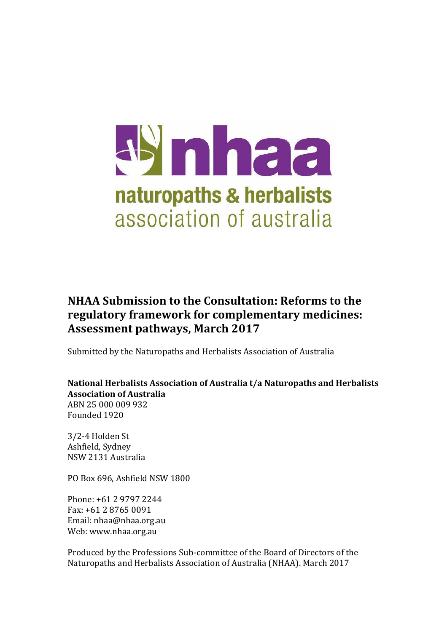

# **NHAA Submission to the Consultation: Reforms to the regulatory framework for complementary medicines: Assessment pathways, March 2017**

Submitted by the Naturopaths and Herbalists Association of Australia

**National Herbalists Association of Australia t/a Naturopaths and Herbalists Association of Australia**  ABN 25 000 009 932 Founded 1920

3/2-4 Holden St Ashfield, Sydney NSW 2131 Australia

PO Box 696, Ashfield NSW 1800

Phone: +61 2 9797 2244 Fax: +61 2 8765 0091 Email: nhaa@nhaa.org.au Web: www.nhaa.org.au

Produced by the Professions Sub-committee of the Board of Directors of the Naturopaths and Herbalists Association of Australia (NHAA). March 2017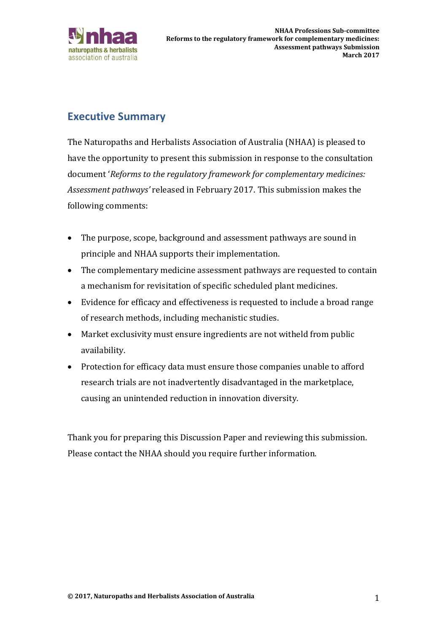

## **Executive Summary**

The Naturopaths and Herbalists Association of Australia (NHAA) is pleased to have the opportunity to present this submission in response to the consultation document '*Reforms to the regulatory framework for complementary medicines: Assessment pathways'* released in February 2017. This submission makes the following comments:

- The purpose, scope, background and assessment pathways are sound in principle and NHAA supports their implementation.
- The complementary medicine assessment pathways are requested to contain a mechanism for revisitation of specific scheduled plant medicines.
- Evidence for efficacy and effectiveness is requested to include a broad range of research methods, including mechanistic studies.
- Market exclusivity must ensure ingredients are not witheld from public availability.
- Protection for efficacy data must ensure those companies unable to afford research trials are not inadvertently disadvantaged in the marketplace, causing an unintended reduction in innovation diversity.

Thank you for preparing this Discussion Paper and reviewing this submission. Please contact the NHAA should you require further information.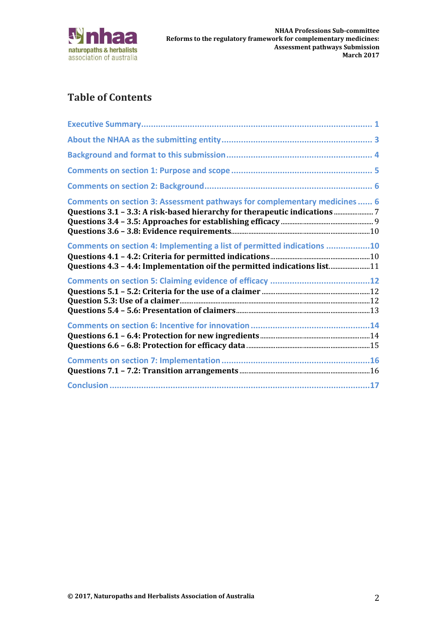

# **Table of Contents**

| Comments on section 3: Assessment pathways for complementary medicines  6                                                                          |
|----------------------------------------------------------------------------------------------------------------------------------------------------|
| Comments on section 4: Implementing a list of permitted indications 10<br>Questions 4.3 - 4.4: Implementation oif the permitted indications list11 |
|                                                                                                                                                    |
|                                                                                                                                                    |
|                                                                                                                                                    |
|                                                                                                                                                    |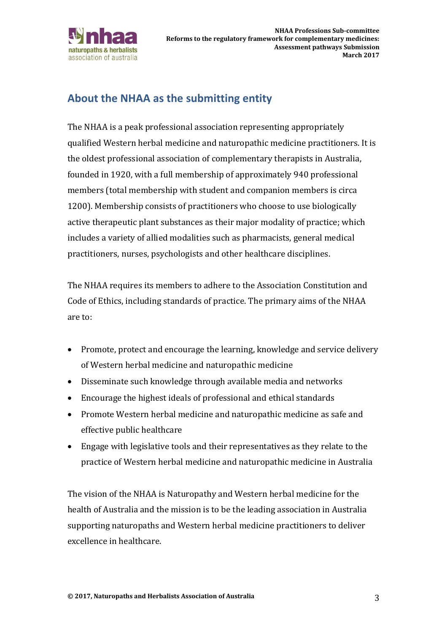

## **About the NHAA as the submitting entity**

The NHAA is a peak professional association representing appropriately qualified Western herbal medicine and naturopathic medicine practitioners. It is the oldest professional association of complementary therapists in Australia, founded in 1920, with a full membership of approximately 940 professional members (total membership with student and companion members is circa 1200). Membership consists of practitioners who choose to use biologically active therapeutic plant substances as their major modality of practice; which includes a variety of allied modalities such as pharmacists, general medical practitioners, nurses, psychologists and other healthcare disciplines.

The NHAA requires its members to adhere to the Association Constitution and Code of Ethics, including standards of practice. The primary aims of the NHAA are to:

- Promote, protect and encourage the learning, knowledge and service delivery of Western herbal medicine and naturopathic medicine
- Disseminate such knowledge through available media and networks
- Encourage the highest ideals of professional and ethical standards
- Promote Western herbal medicine and naturopathic medicine as safe and effective public healthcare
- Engage with legislative tools and their representatives as they relate to the practice of Western herbal medicine and naturopathic medicine in Australia

The vision of the NHAA is Naturopathy and Western herbal medicine for the health of Australia and the mission is to be the leading association in Australia supporting naturopaths and Western herbal medicine practitioners to deliver excellence in healthcare.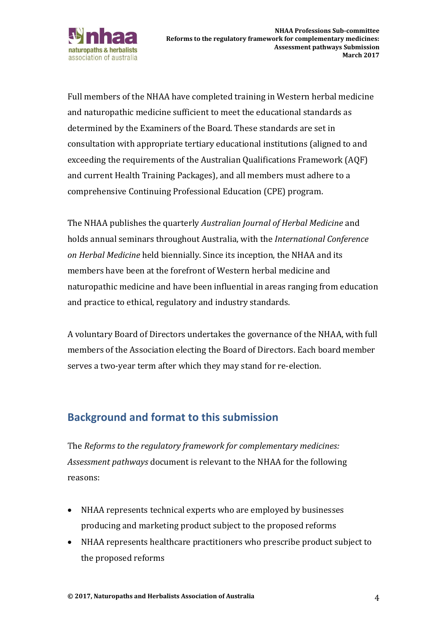

Full members of the NHAA have completed training in Western herbal medicine and naturopathic medicine sufficient to meet the educational standards as determined by the Examiners of the Board. These standards are set in consultation with appropriate tertiary educational institutions (aligned to and exceeding the requirements of the Australian Qualifications Framework (AQF) and current Health Training Packages), and all members must adhere to a comprehensive Continuing Professional Education (CPE) program.

The NHAA publishes the quarterly *Australian Journal of Herbal Medicine* and holds annual seminars throughout Australia, with the *International Conference on Herbal Medicine* held biennially. Since its inception, the NHAA and its members have been at the forefront of Western herbal medicine and naturopathic medicine and have been influential in areas ranging from education and practice to ethical, regulatory and industry standards.

A voluntary Board of Directors undertakes the governance of the NHAA, with full members of the Association electing the Board of Directors. Each board member serves a two-year term after which they may stand for re-election.

## **Background and format to this submission**

The *Reforms to the regulatory framework for complementary medicines: Assessment pathways* document is relevant to the NHAA for the following reasons:

- NHAA represents technical experts who are employed by businesses producing and marketing product subject to the proposed reforms
- NHAA represents healthcare practitioners who prescribe product subject to the proposed reforms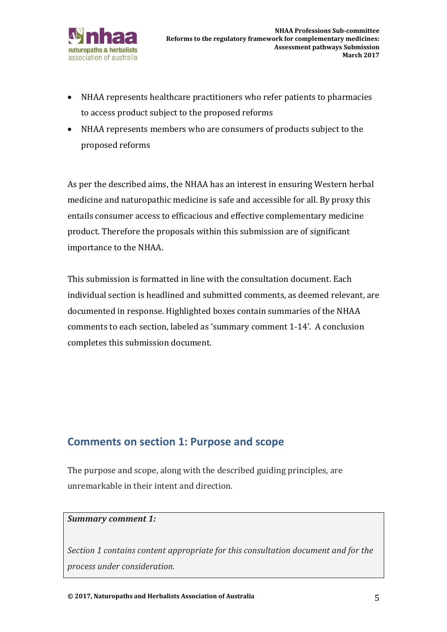

- NHAA represents healthcare practitioners who refer patients to pharmacies to access product subject to the proposed reforms
- NHAA represents members who are consumers of products subject to the proposed reforms

As per the described aims, the NHAA has an interest in ensuring Western herbal medicine and naturopathic medicine is safe and accessible for all. By proxy this entails consumer access to efficacious and effective complementary medicine product. Therefore the proposals within this submission are of significant importance to the NHAA.

This submission is formatted in line with the consultation document. Each individual section is headlined and submitted comments, as deemed relevant, are documented in response. Highlighted boxes contain summaries of the NHAA comments to each section, labeled as 'summary comment 1-14'. A conclusion completes this submission document.

### **Comments on section 1: Purpose and scope**

The purpose and scope, along with the described guiding principles, are unremarkable in their intent and direction.

#### *Summary comment 1:*

*Section 1 contains content appropriate for this consultation document and for the process under consideration.*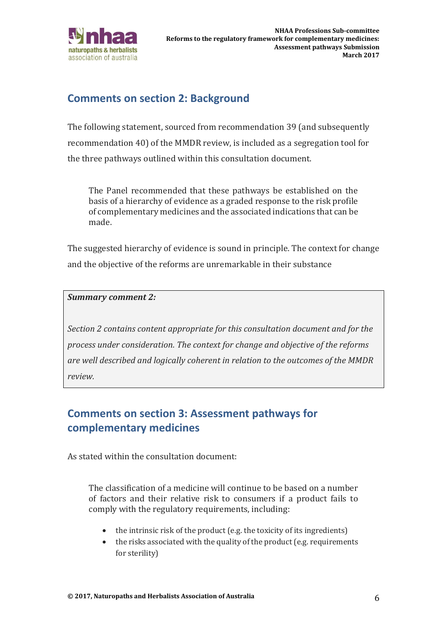

## **Comments on section 2: Background**

The following statement, sourced from recommendation 39 (and subsequently recommendation 40) of the MMDR review, is included as a segregation tool for the three pathways outlined within this consultation document.

The Panel recommended that these pathways be established on the basis of a hierarchy of evidence as a graded response to the risk profile of complementary medicines and the associated indications that can be made.

The suggested hierarchy of evidence is sound in principle. The context for change and the objective of the reforms are unremarkable in their substance

#### *Summary comment 2:*

*Section 2 contains content appropriate for this consultation document and for the process under consideration. The context for change and objective of the reforms are well described and logically coherent in relation to the outcomes of the MMDR review.* 

# **Comments on section 3: Assessment pathways for complementary medicines**

As stated within the consultation document:

The classification of a medicine will continue to be based on a number of factors and their relative risk to consumers if a product fails to comply with the regulatory requirements, including:

- $\bullet$  the intrinsic risk of the product (e.g. the toxicity of its ingredients)
- the risks associated with the quality of the product (e.g. requirements for sterility)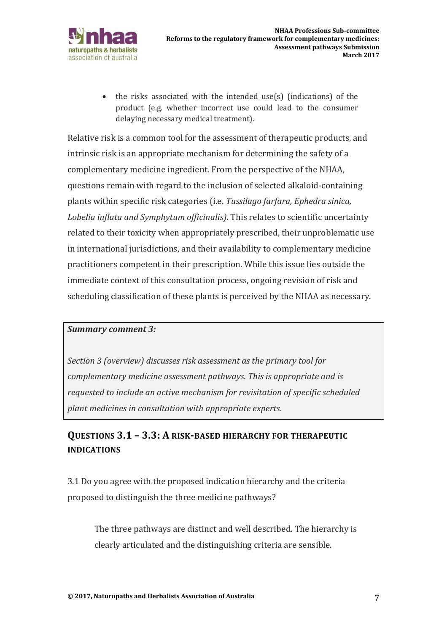

• the risks associated with the intended use(s) (indications) of the product (e.g. whether incorrect use could lead to the consumer delaying necessary medical treatment).

Relative risk is a common tool for the assessment of therapeutic products, and intrinsic risk is an appropriate mechanism for determining the safety of a complementary medicine ingredient. From the perspective of the NHAA, questions remain with regard to the inclusion of selected alkaloid-containing plants within specific risk categories (i.e. *Tussilago farfara, Ephedra sinica, Lobelia inflata and Symphytum officinalis)*. This relates to scientific uncertainty related to their toxicity when appropriately prescribed, their unproblematic use in international jurisdictions, and their availability to complementary medicine practitioners competent in their prescription. While this issue lies outside the immediate context of this consultation process, ongoing revision of risk and scheduling classification of these plants is perceived by the NHAA as necessary.

#### *Summary comment 3:*

*Section 3 (overview) discusses risk assessment as the primary tool for complementary medicine assessment pathways. This is appropriate and is requested to include an active mechanism for revisitation of specific scheduled plant medicines in consultation with appropriate experts.* 

## **QUESTIONS 3.1 – 3.3: A RISK-BASED HIERARCHY FOR THERAPEUTIC INDICATIONS**

3.1 Do you agree with the proposed indication hierarchy and the criteria proposed to distinguish the three medicine pathways?

The three pathways are distinct and well described. The hierarchy is clearly articulated and the distinguishing criteria are sensible.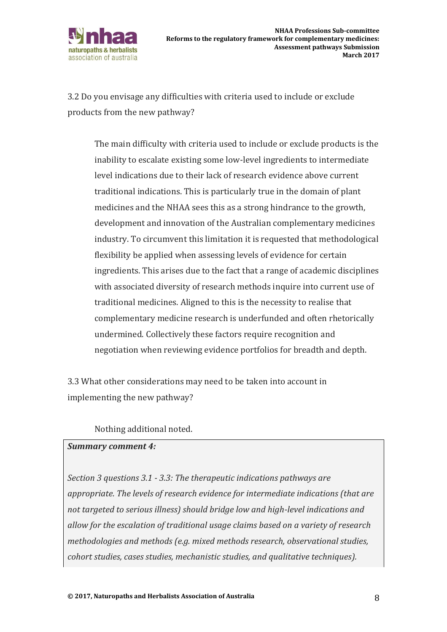

3.2 Do you envisage any difficulties with criteria used to include or exclude products from the new pathway?

The main difficulty with criteria used to include or exclude products is the inability to escalate existing some low-level ingredients to intermediate level indications due to their lack of research evidence above current traditional indications. This is particularly true in the domain of plant medicines and the NHAA sees this as a strong hindrance to the growth, development and innovation of the Australian complementary medicines industry. To circumvent this limitation it is requested that methodological flexibility be applied when assessing levels of evidence for certain ingredients. This arises due to the fact that a range of academic disciplines with associated diversity of research methods inquire into current use of traditional medicines. Aligned to this is the necessity to realise that complementary medicine research is underfunded and often rhetorically undermined. Collectively these factors require recognition and negotiation when reviewing evidence portfolios for breadth and depth.

3.3 What other considerations may need to be taken into account in implementing the new pathway?

#### Nothing additional noted.

#### *Summary comment 4:*

*Section 3 questions 3.1 - 3.3: The therapeutic indications pathways are appropriate. The levels of research evidence for intermediate indications (that are not targeted to serious illness) should bridge low and high-level indications and allow for the escalation of traditional usage claims based on a variety of research methodologies and methods (e.g. mixed methods research, observational studies, cohort studies, cases studies, mechanistic studies, and qualitative techniques).*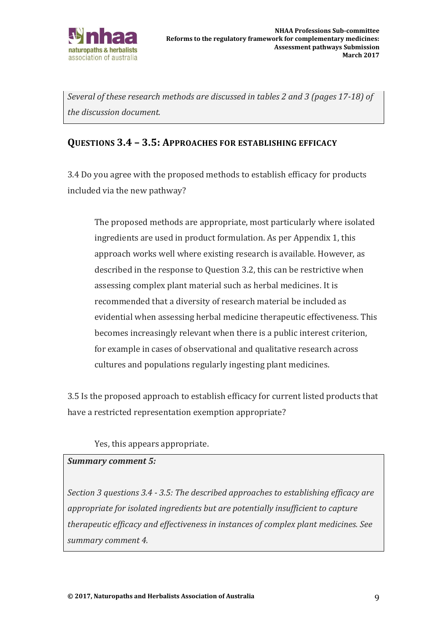

*Several of these research methods are discussed in tables 2 and 3 (pages 17-18) of the discussion document.* 

### **QUESTIONS 3.4 – 3.5: APPROACHES FOR ESTABLISHING EFFICACY**

3.4 Do you agree with the proposed methods to establish efficacy for products included via the new pathway?

The proposed methods are appropriate, most particularly where isolated ingredients are used in product formulation. As per Appendix 1, this approach works well where existing research is available. However, as described in the response to Question 3.2, this can be restrictive when assessing complex plant material such as herbal medicines. It is recommended that a diversity of research material be included as evidential when assessing herbal medicine therapeutic effectiveness. This becomes increasingly relevant when there is a public interest criterion, for example in cases of observational and qualitative research across cultures and populations regularly ingesting plant medicines.

3.5 Is the proposed approach to establish efficacy for current listed products that have a restricted representation exemption appropriate?

### Yes, this appears appropriate.

#### *Summary comment 5:*

*Section 3 questions 3.4 - 3.5: The described approaches to establishing efficacy are appropriate for isolated ingredients but are potentially insufficient to capture therapeutic efficacy and effectiveness in instances of complex plant medicines. See summary comment 4.*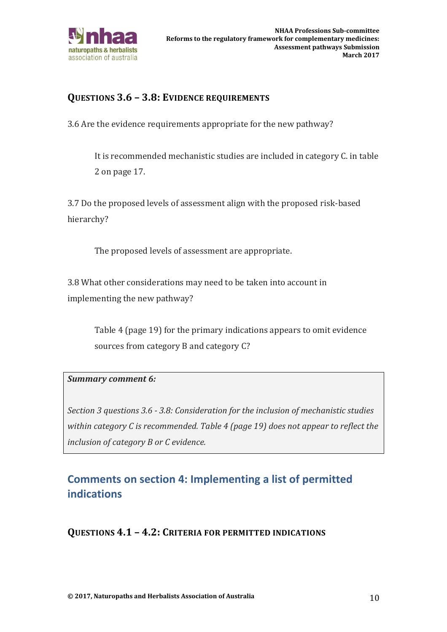

### **QUESTIONS 3.6 – 3.8: EVIDENCE REQUIREMENTS**

3.6 Are the evidence requirements appropriate for the new pathway?

It is recommended mechanistic studies are included in category C. in table 2 on page 17.

3.7 Do the proposed levels of assessment align with the proposed risk-based hierarchy?

The proposed levels of assessment are appropriate.

3.8 What other considerations may need to be taken into account in implementing the new pathway?

> Table 4 (page 19) for the primary indications appears to omit evidence sources from category B and category C?

#### *Summary comment 6:*

*Section 3 questions 3.6 - 3.8: Consideration for the inclusion of mechanistic studies within category C is recommended. Table 4 (page 19) does not appear to reflect the inclusion of category B or C evidence.* 

# **Comments on section 4: Implementing a list of permitted indications**

**QUESTIONS 4.1 – 4.2: CRITERIA FOR PERMITTED INDICATIONS**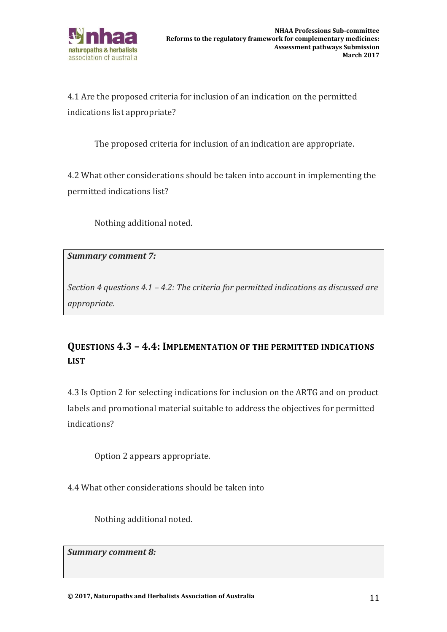

4.1 Are the proposed criteria for inclusion of an indication on the permitted indications list appropriate?

The proposed criteria for inclusion of an indication are appropriate.

4.2 What other considerations should be taken into account in implementing the permitted indications list?

Nothing additional noted.

*Summary comment 7:* 

*Section 4 questions 4.1 – 4.2: The criteria for permitted indications as discussed are appropriate.* 

## **QUESTIONS 4.3 – 4.4: IMPLEMENTATION OF THE PERMITTED INDICATIONS LIST**

4.3 Is Option 2 for selecting indications for inclusion on the ARTG and on product labels and promotional material suitable to address the objectives for permitted indications?

Option 2 appears appropriate.

4.4 What other considerations should be taken into

Nothing additional noted.

*Summary comment 8:*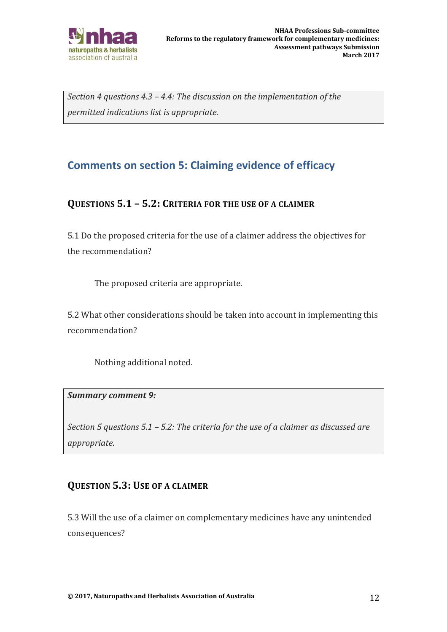

*Section 4 questions 4.3 – 4.4: The discussion on the implementation of the permitted indications list is appropriate.* 

# **Comments on section 5: Claiming evidence of efficacy**

### **QUESTIONS 5.1 – 5.2: CRITERIA FOR THE USE OF A CLAIMER**

5.1 Do the proposed criteria for the use of a claimer address the objectives for the recommendation?

The proposed criteria are appropriate.

5.2 What other considerations should be taken into account in implementing this recommendation?

Nothing additional noted.

#### *Summary comment 9:*

*Section 5 questions 5.1 – 5.2: The criteria for the use of a claimer as discussed are appropriate.* 

### **QUESTION 5.3: USE OF A CLAIMER**

5.3 Will the use of a claimer on complementary medicines have any unintended consequences?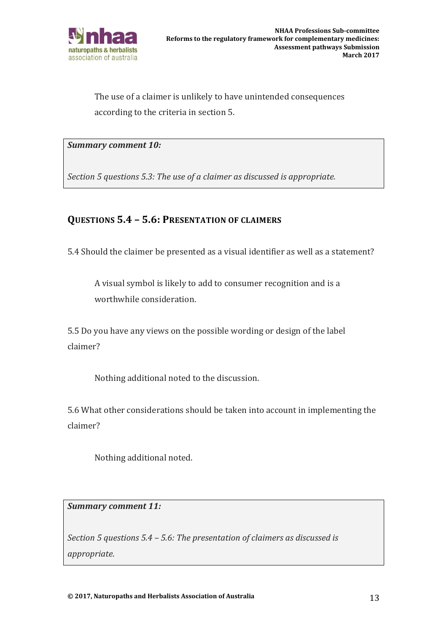

The use of a claimer is unlikely to have unintended consequences according to the criteria in section 5.

*Summary comment 10:*

*Section 5 questions 5.3: The use of a claimer as discussed is appropriate.* 

### **QUESTIONS 5.4 – 5.6: PRESENTATION OF CLAIMERS**

5.4 Should the claimer be presented as a visual identifier as well as a statement?

A visual symbol is likely to add to consumer recognition and is a worthwhile consideration.

5.5 Do you have any views on the possible wording or design of the label claimer?

Nothing additional noted to the discussion.

5.6 What other considerations should be taken into account in implementing the claimer?

Nothing additional noted.

*Summary comment 11:*

*Section 5 questions 5.4 – 5.6: The presentation of claimers as discussed is appropriate.*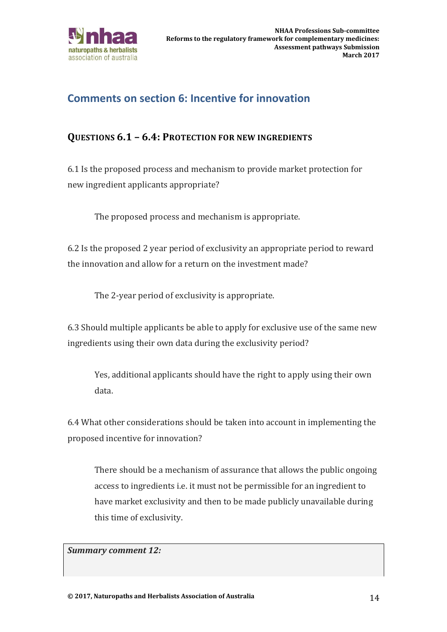

# **Comments on section 6: Incentive for innovation**

### **QUESTIONS 6.1 – 6.4: PROTECTION FOR NEW INGREDIENTS**

6.1 Is the proposed process and mechanism to provide market protection for new ingredient applicants appropriate?

The proposed process and mechanism is appropriate.

6.2 Is the proposed 2 year period of exclusivity an appropriate period to reward the innovation and allow for a return on the investment made?

The 2-year period of exclusivity is appropriate.

6.3 Should multiple applicants be able to apply for exclusive use of the same new ingredients using their own data during the exclusivity period?

Yes, additional applicants should have the right to apply using their own data.

6.4 What other considerations should be taken into account in implementing the proposed incentive for innovation?

There should be a mechanism of assurance that allows the public ongoing access to ingredients i.e. it must not be permissible for an ingredient to have market exclusivity and then to be made publicly unavailable during this time of exclusivity.

*Summary comment 12:*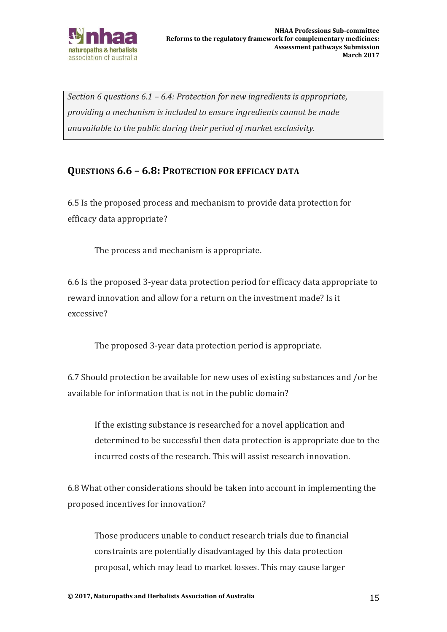

*Section 6 questions 6.1 – 6.4: Protection for new ingredients is appropriate, providing a mechanism is included to ensure ingredients cannot be made unavailable to the public during their period of market exclusivity.* 

### **QUESTIONS 6.6 – 6.8: PROTECTION FOR EFFICACY DATA**

6.5 Is the proposed process and mechanism to provide data protection for efficacy data appropriate?

The process and mechanism is appropriate.

6.6 Is the proposed 3-year data protection period for efficacy data appropriate to reward innovation and allow for a return on the investment made? Is it excessive?

The proposed 3-year data protection period is appropriate.

6.7 Should protection be available for new uses of existing substances and /or be available for information that is not in the public domain?

If the existing substance is researched for a novel application and determined to be successful then data protection is appropriate due to the incurred costs of the research. This will assist research innovation.

6.8 What other considerations should be taken into account in implementing the proposed incentives for innovation?

Those producers unable to conduct research trials due to financial constraints are potentially disadvantaged by this data protection proposal, which may lead to market losses. This may cause larger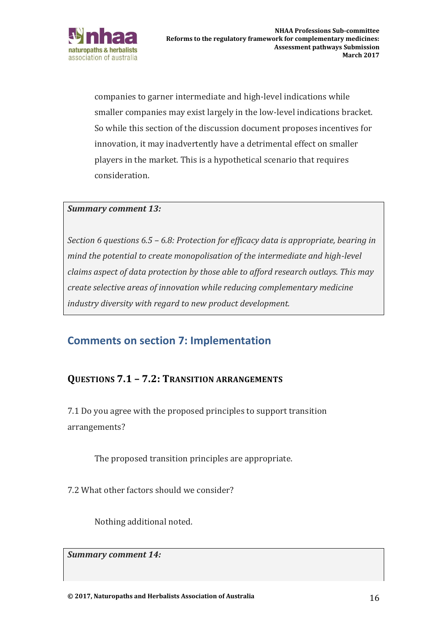

companies to garner intermediate and high-level indications while smaller companies may exist largely in the low-level indications bracket. So while this section of the discussion document proposes incentives for innovation, it may inadvertently have a detrimental effect on smaller players in the market. This is a hypothetical scenario that requires consideration.

#### *Summary comment 13:*

*Section 6 questions 6.5 – 6.8: Protection for efficacy data is appropriate, bearing in mind the potential to create monopolisation of the intermediate and high-level claims aspect of data protection by those able to afford research outlays. This may create selective areas of innovation while reducing complementary medicine industry diversity with regard to new product development.* 

### **Comments on section 7: Implementation**

### **QUESTIONS 7.1 – 7.2: TRANSITION ARRANGEMENTS**

7.1 Do you agree with the proposed principles to support transition arrangements?

The proposed transition principles are appropriate.

7.2 What other factors should we consider?

Nothing additional noted.

*Summary comment 14:*